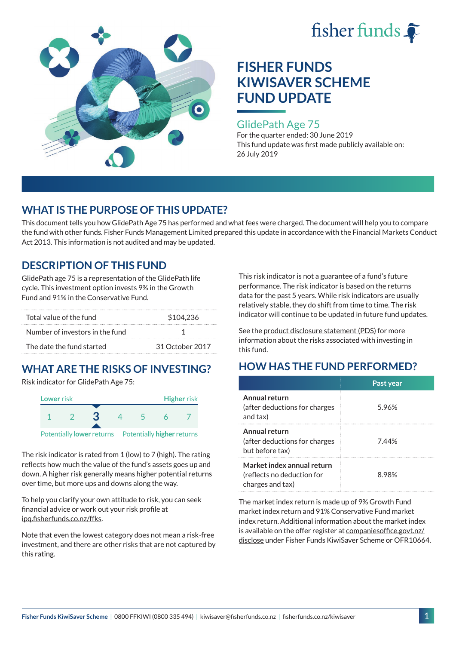



### GlidePath Age 75

For the quarter ended: 30 June 2019 This fund update was first made publicly available on: 26 July 2019

## **WHAT IS THE PURPOSE OF THIS UPDATE?**

This document tells you how GlidePath Age 75 has performed and what fees were charged. The document will help you to compare the fund with other funds. Fisher Funds Management Limited prepared this update in accordance with the Financial Markets Conduct Act 2013. This information is not audited and may be updated.

## **DESCRIPTION OF THIS FUND**

GlidePath age 75 is a representation of the GlidePath life cycle. This investment option invests 9% in the Growth Fund and 91% in the Conservative Fund.

| Total value of the fund         | \$104.236       |  |  |
|---------------------------------|-----------------|--|--|
| Number of investors in the fund |                 |  |  |
| The date the fund started       | 31 October 2017 |  |  |

# **WHAT ARE THE RISKS OF INVESTING?**

Risk indicator for GlidePath Age 75:



Potentially **lower** returns Potentially **higher** returns

The risk indicator is rated from 1 (low) to 7 (high). The rating reflects how much the value of the fund's assets goes up and down. A higher risk generally means higher potential returns over time, but more ups and downs along the way.

To help you clarify your own attitude to risk, you can seek financial advice or work out your risk profile at [ipq.fisherfunds.co.nz/ffks](https://ipq.fisherfunds.co.nz/ffks).

Note that even the lowest category does not mean a risk-free investment, and there are other risks that are not captured by this rating.

This risk indicator is not a guarantee of a fund's future performance. The risk indicator is based on the returns data for the past 5 years. While risk indicators are usually relatively stable, they do shift from time to time. The risk indicator will continue to be updated in future fund updates.

See the [product disclosure statement \(PDS\)](https://fisherfunds.co.nz/assets/PDS/Fisher-Funds-KiwiSaver-Scheme-PDS.pdf) for more information about the risks associated with investing in this fund.

## **HOW HAS THE FUND PERFORMED?**

|                                                                              | Past year |
|------------------------------------------------------------------------------|-----------|
| Annual return<br>(after deductions for charges<br>and tax)                   | 5.96%     |
| Annual return<br>(after deductions for charges<br>but before tax)            | 744%      |
| Market index annual return<br>(reflects no deduction for<br>charges and tax) | 8.98%     |

The market index return is made up of 9% Growth Fund market index return and 91% Conservative Fund market index return. Additional information about the market index is available on the offer register at [companiesoffice.govt.nz/](http://companiesoffice.govt.nz/disclose) [disclose](http://companiesoffice.govt.nz/disclose) under Fisher Funds KiwiSaver Scheme or OFR10664.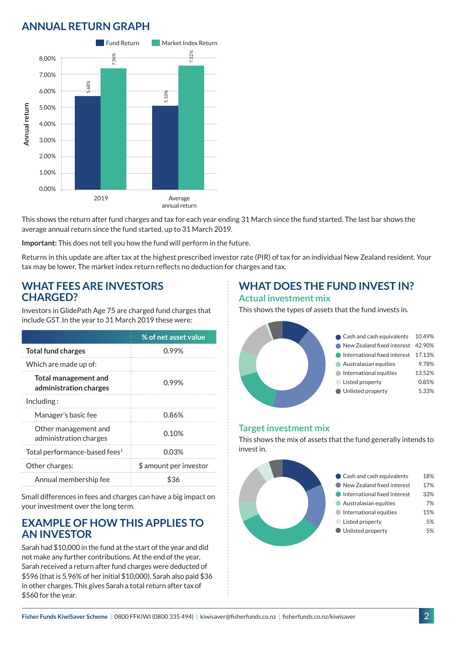## **ANNUAL RETURN GRAPH**



This shows the return after fund charges and tax for each year ending 31 March since the fund started. The last bar shows the average annual return since the fund started, up to 31 March 2019.

**Important:** This does not tell you how the fund will perform in the future.

Returns in this update are after tax at the highest prescribed investor rate (PIR) of tax for an individual New Zealand resident. Your tax may be lower. The market index return reflects no deduction for charges and tax.

#### **WHAT FEES ARE INVESTORS CHARGED?**

Investors in GlidePath Age 75 are charged fund charges that include GST. In the year to 31 March 2019 these were:

|                                                       | % of net asset value   |
|-------------------------------------------------------|------------------------|
| <b>Total fund charges</b>                             | 0.99%                  |
| Which are made up of:                                 |                        |
| <b>Total management and</b><br>administration charges | 0.99%                  |
| Including:                                            |                        |
| Manager's basic fee                                   | 0.86%                  |
| Other management and<br>administration charges        | 0.10%                  |
| Total performance-based fees <sup>1</sup>             | 0.03%                  |
| Other charges:                                        | \$ amount per investor |
| Annual membership fee                                 | ዬ'⊰ራ                   |

Small differences in fees and charges can have a big impact on your investment over the long term.

### **EXAMPLE OF HOW THIS APPLIES TO AN INVESTOR**

Sarah had \$10,000 in the fund at the start of the year and did not make any further contributions. At the end of the year, Sarah received a return after fund charges were deducted of \$596 (that is 5.96% of her initial \$10,000). Sarah also paid \$36 in other charges. This gives Sarah a total return after tax of \$560 for the year.

### **WHAT DOES THE FUND INVEST IN? Actual investment mix**

This shows the types of assets that the fund invests in.



#### **Target investment mix**

This shows the mix of assets that the fund generally intends to invest in.